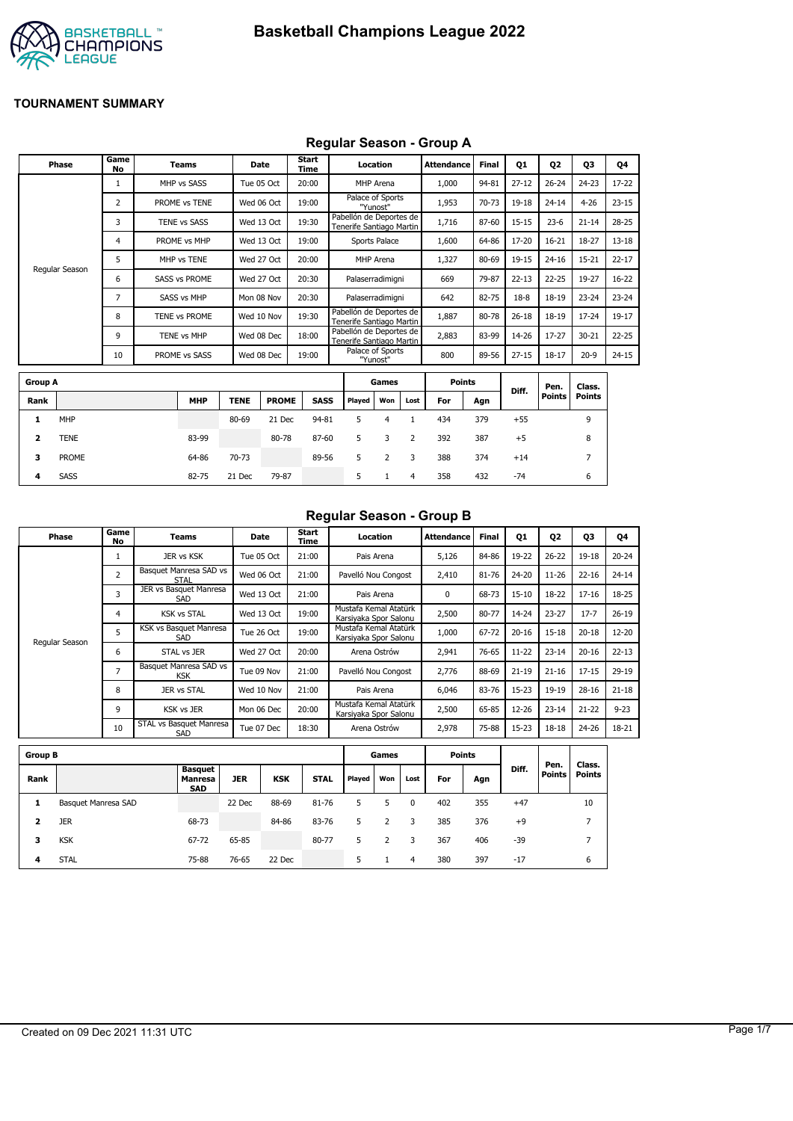

#### **Regular Season - Group A**

|                | <b>Phase</b>   | Game<br>No     | Teams                |             | <b>Date</b>  | <b>Start</b><br>Time |        | Location                                            |      | <b>Attendance</b> | <b>Final</b> | 01        | <b>Q2</b>     | 03             | Q4        |
|----------------|----------------|----------------|----------------------|-------------|--------------|----------------------|--------|-----------------------------------------------------|------|-------------------|--------------|-----------|---------------|----------------|-----------|
|                |                | 1              | MHP vs SASS          |             | Tue 05 Oct   | 20:00                |        | MHP Arena                                           |      | 1,000             | 94-81        | $27 - 12$ | $26 - 24$     | $24 - 23$      | 17-22     |
|                |                | 2              | PROME vs TENE        |             | Wed 06 Oct   | 19:00                |        | Palace of Sports<br>"Yunost"                        |      | 1,953             | 70-73        | 19-18     | $24 - 14$     | $4 - 26$       | $23 - 15$ |
|                |                | 3              | <b>TENE vs SASS</b>  |             | Wed 13 Oct   | 19:30                |        | Pabellón de Deportes de<br>Tenerife Santiago Martin |      | 1,716             | 87-60        | $15 - 15$ | $23-6$        | $21 - 14$      | $28 - 25$ |
|                |                | 4              | PROME vs MHP         |             | Wed 13 Oct   | 19:00                |        | Sports Palace                                       |      | 1,600             | 64-86        | 17-20     | $16 - 21$     | 18-27          | $13 - 18$ |
|                |                | 5              | MHP vs TENE          |             | Wed 27 Oct   | 20:00                |        | MHP Arena                                           |      | 1,327             | 80-69        | 19-15     | $24 - 16$     | $15 - 21$      | $22 - 17$ |
|                | Regular Season | 6              | <b>SASS vs PROME</b> |             | Wed 27 Oct   | 20:30                |        | Palaserradimigni                                    |      | 669               | 79-87        | $22 - 13$ | $22 - 25$     | 19-27          | $16 - 22$ |
|                |                | $\overline{7}$ | <b>SASS vs MHP</b>   |             | Mon 08 Nov   | 20:30                |        | Palaserradimigni                                    |      | 642               | 82-75        | $18 - 8$  | $18 - 19$     | $23 - 24$      | $23 - 24$ |
|                |                | 8              | TENE vs PROME        |             | Wed 10 Nov   | 19:30                |        | Pabellón de Deportes de<br>Tenerife Santiago Martin |      | 1,887             | 80-78        | $26 - 18$ | 18-19         | $17 - 24$      | $19-17$   |
|                |                | 9              | TENE vs MHP          |             | Wed 08 Dec   | 18:00                |        | Pabellón de Deportes de<br>Tenerife Santiago Martin |      | 2,883             | 83-99        | 14-26     | $17 - 27$     | $30 - 21$      | $22 - 25$ |
|                |                | 10             | PROME vs SASS        |             | Wed 08 Dec   | 19:00                |        | Palace of Sports<br>"Yunost"                        |      | 800               | 89-56        | $27 - 15$ | $18 - 17$     | $20-9$         | $24 - 15$ |
|                |                |                |                      |             |              |                      |        |                                                     |      |                   |              |           |               |                |           |
| <b>Group A</b> |                |                |                      |             |              |                      |        | Games                                               |      | <b>Points</b>     |              | Diff.     | Pen.          | Class.         |           |
| Rank           |                |                | <b>MHP</b>           | <b>TENE</b> | <b>PROME</b> | <b>SASS</b>          | Played | Won                                                 | Lost | For               | Agn          |           | <b>Points</b> | <b>Points</b>  |           |
| 1              | <b>MHP</b>     |                |                      | 80-69       | 21 Dec       | 94-81                | 5      | 4                                                   | 1    | 434               | 379          | $+55$     |               | 9              |           |
| 2              | <b>TENE</b>    |                | 83-99                |             | 80-78        | 87-60                | 5      | 3                                                   | 2    | 392               | 387          | $+5$      |               | 8              |           |
| 3              | <b>PROME</b>   |                | 64-86                | 70-73       |              | 89-56                | 5      | 2                                                   | 3    | 388               | 374          | $+14$     |               | $\overline{7}$ |           |

**4** SASS 82-75 21 Dec 79-87 5 1 4 358 432 -74 6

#### **Regular Season - Group B**

| Phase          | Game<br>No     | Teams                                | Date       | Start<br>Time | Location                                       | Attendance | <b>Final</b> | Q1        | 02        | 03        | Q4        |
|----------------|----------------|--------------------------------------|------------|---------------|------------------------------------------------|------------|--------------|-----------|-----------|-----------|-----------|
|                |                | JER vs KSK                           | Tue 05 Oct | 21:00         | Pais Arena                                     | 5,126      | 84-86        | 19-22     | $26 - 22$ | $19 - 18$ | $20 - 24$ |
|                | 2              | Basquet Manresa SAD vs<br>STAL       | Wed 06 Oct | 21:00         | Pavelló Nou Congost                            | 2,410      | 81-76        | 24-20     | $11 - 26$ | $22 - 16$ | $24 - 14$ |
|                | 3              | JER vs Basquet Manresa<br>SAD        | Wed 13 Oct | 21:00         | Pais Arena                                     | 0          | 68-73        | $15 - 10$ | 18-22     | $17 - 16$ | 18-25     |
|                | 4              | <b>KSK vs STAL</b>                   | Wed 13 Oct | 19:00         | Mustafa Kemal Atatürk<br>Karsiyaka Spor Salonu | 2,500      | 80-77        | 14-24     | $23 - 27$ | $17 - 7$  | $26-19$   |
| Regular Season | 5              | KSK vs Basquet Manresa<br>SAD        | Tue 26 Oct | 19:00         | Mustafa Kemal Atatürk<br>Karsiyaka Spor Salonu | 1,000      | 67-72        | $20 - 16$ | $15 - 18$ | $20 - 18$ | $12 - 20$ |
|                | 6              | STAL vs JER                          | Wed 27 Oct | 20:00         | Arena Ostrów                                   | 2,941      | 76-65        | $11 - 22$ | $23 - 14$ | $20 - 16$ | $22 - 13$ |
|                | $\overline{7}$ | Basquet Manresa SAD vs<br><b>KSK</b> | Tue 09 Nov | 21:00         | Pavelló Nou Congost                            | 2,776      | 88-69        | $21 - 19$ | $21 - 16$ | $17 - 15$ | $29-19$   |
|                | 8              | JER vs STAL                          | Wed 10 Nov | 21:00         | Pais Arena                                     | 6,046      | 83-76        | $15 - 23$ | 19-19     | $28 - 16$ | $21 - 18$ |
|                | 9              | <b>KSK vs JER</b>                    | Mon 06 Dec | 20:00         | Mustafa Kemal Atatürk<br>Karsiyaka Spor Salonu | 2,500      | 65-85        | 12-26     | $23 - 14$ | $21 - 22$ | $9 - 23$  |
|                | 10             | STAL vs Basquet Manresa<br>SAD       | Tue 07 Dec | 18:30         | Arena Ostrów                                   | 2,978      | 75-88        | 15-23     | $18 - 18$ | $24 - 26$ | 18-21     |

| <b>Group B</b> |                     |                                         |            |            |             |        | Games |      | <b>Points</b> |     |       |                       |                         |
|----------------|---------------------|-----------------------------------------|------------|------------|-------------|--------|-------|------|---------------|-----|-------|-----------------------|-------------------------|
| Rank           |                     | Basquet<br><b>Manresa</b><br><b>SAD</b> | <b>JER</b> | <b>KSK</b> | <b>STAL</b> | Played | Won   | Lost | For           | Agn | Diff. | Pen.<br><b>Points</b> | Class.<br><b>Points</b> |
| 1              | Basquet Manresa SAD |                                         | 22 Dec     | 88-69      | 81-76       | 5      |       | 0    | 402           | 355 | $+47$ |                       | 10                      |
| 2              | <b>JER</b>          | 68-73                                   |            | 84-86      | 83-76       | 5      |       | 3    | 385           | 376 | $+9$  |                       | ⇁                       |
| 3              | <b>KSK</b>          | 67-72                                   | 65-85      |            | 80-77       | 5      | 2     | 3    | 367           | 406 | $-39$ |                       | ⇁                       |
| 4              | <b>STAL</b>         | 75-88                                   | 76-65      | 22 Dec     |             | 5.     |       | 4    | 380           | 397 | $-17$ |                       | 6                       |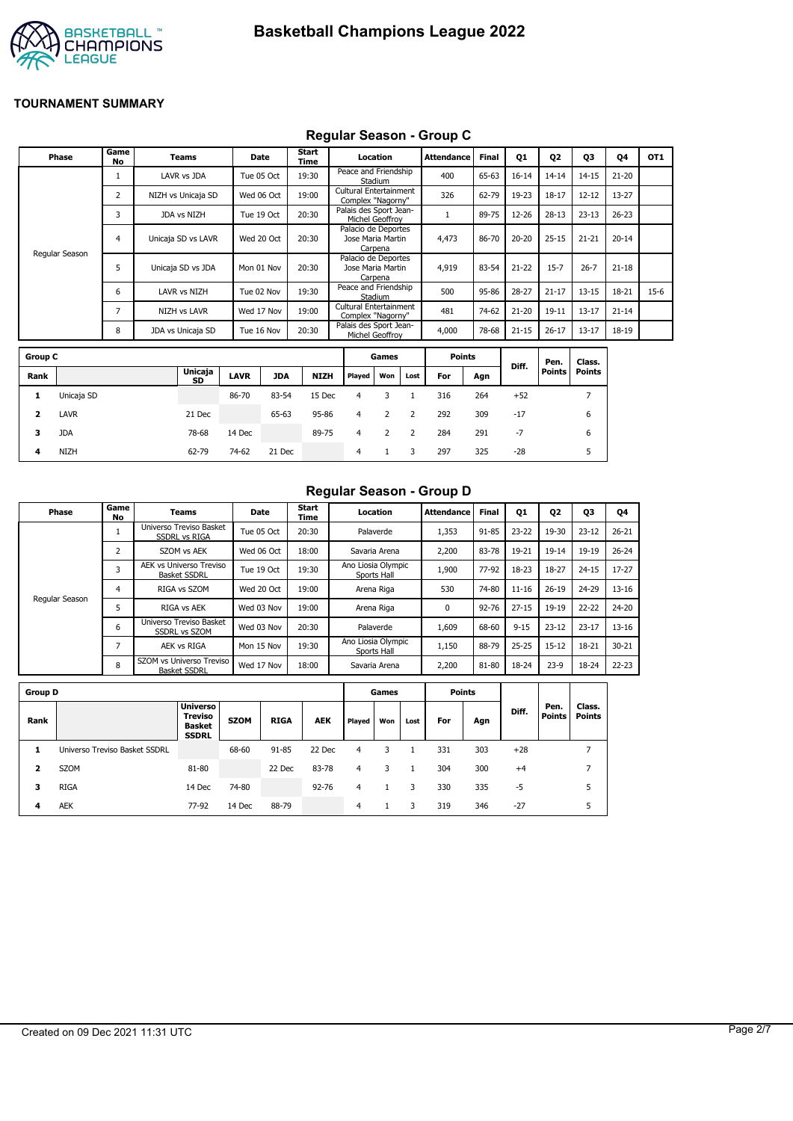

## **Regular Season - Group C**

|                         | Phase          | Game<br><b>No</b> | <b>Teams</b>       |             | Date       | Start<br>Time |                                                    | Location                     |                | <b>Attendance</b> | <b>Final</b> | Q1        | Q <sub>2</sub> | Q3             | Q4        | OT <sub>1</sub> |
|-------------------------|----------------|-------------------|--------------------|-------------|------------|---------------|----------------------------------------------------|------------------------------|----------------|-------------------|--------------|-----------|----------------|----------------|-----------|-----------------|
|                         |                | 1                 | LAVR vs JDA        | Tue 05 Oct  |            | 19:30         | Peace and Friendship                               | Stadium                      |                | 400               | 65-63        | $16 - 14$ | $14 - 14$      | $14 - 15$      | $21 - 20$ |                 |
|                         |                | 2                 | NIZH vs Unicaja SD |             | Wed 06 Oct | 19:00         | <b>Cultural Entertainment</b><br>Complex "Nagorny" |                              |                | 326               | 62-79        | 19-23     | $18 - 17$      | $12 - 12$      | $13 - 27$ |                 |
|                         |                | 3                 | JDA vs NIZH        |             | Tue 19 Oct | 20:30         | Palais des Sport Jean-                             | <b>Michel Geoffroy</b>       |                | $\mathbf{1}$      | 89-75        | 12-26     | $28 - 13$      | $23 - 13$      | $26 - 23$ |                 |
|                         |                | 4                 | Unicaja SD vs LAVR |             | Wed 20 Oct | 20:30         | Palacio de Deportes                                | Jose Maria Martin<br>Carpena |                | 4,473             | 86-70        | $20 - 20$ | $25 - 15$      | $21 - 21$      | $20 - 14$ |                 |
|                         | Regular Season | 5                 | Unicaja SD vs JDA  | Mon 01 Nov  |            | 20:30         | Palacio de Deportes                                | Jose Maria Martin<br>Carpena |                | 4,919             | 83-54        | $21 - 22$ | $15 - 7$       | $26 - 7$       | $21 - 18$ |                 |
|                         |                | 6                 | LAVR vs NIZH       |             | Tue 02 Nov | 19:30         | Peace and Friendship                               | Stadium                      |                | 500               | 95-86        | 28-27     | $21 - 17$      | $13 - 15$      | 18-21     | $15-6$          |
|                         |                | 7                 | NIZH vs LAVR       | Wed 17 Nov  |            | 19:00         | <b>Cultural Entertainment</b><br>Complex "Nagorny" |                              |                | 481               | 74-62        | $21 - 20$ | $19 - 11$      | $13 - 17$      | $21 - 14$ |                 |
|                         |                | 8                 | JDA vs Unicaja SD  | Tue 16 Nov  |            | 20:30         | Palais des Sport Jean-                             | Michel Geoffroy              |                | 4,000             | 78-68        | $21 - 15$ | $26 - 17$      | $13 - 17$      | 18-19     |                 |
| <b>Group C</b>          |                |                   |                    |             |            |               |                                                    | Games                        |                | <b>Points</b>     |              |           | Pen.           | Class.         |           |                 |
| Rank                    |                |                   | Unicaja<br>SD      | <b>LAVR</b> | <b>JDA</b> | <b>NIZH</b>   | Played                                             | Won                          | Lost           | For               | Agn          | Diff.     | <b>Points</b>  | <b>Points</b>  |           |                 |
| 1                       | Unicaja SD     |                   |                    | 86-70       | 83-54      | 15 Dec        | 4                                                  | 3                            | $\mathbf{1}$   | 316               | 264          | $+52$     |                | $\overline{7}$ |           |                 |
| $\overline{\mathbf{2}}$ | <b>LAVR</b>    |                   | 21 Dec             |             | 65-63      | 95-86         | $\overline{4}$                                     | $\overline{2}$               | $\overline{2}$ | 292               | 309          | $-17$     |                | 6              |           |                 |
| з                       | <b>JDA</b>     |                   | 78-68              | 14 Dec      |            | 89-75         | $\overline{4}$                                     | 2                            | $\overline{2}$ | 284               | 291          | $-7$      |                | 6              |           |                 |
| 4                       | <b>NIZH</b>    |                   | 62-79              | 74-62       | 21 Dec     |               | $\overline{4}$                                     | $\mathbf{1}$                 | 3              | 297               | 325          | $-28$     |                | 5              |           |                 |

#### **Regular Season - Group D**

| Phase          | Game<br>No | <b>Teams</b>                                    | Date       | Start<br>Time | Location                          | Attendance  | <b>Final</b> | <b>Q1</b> | Q2        | Q3        | 04        |
|----------------|------------|-------------------------------------------------|------------|---------------|-----------------------------------|-------------|--------------|-----------|-----------|-----------|-----------|
|                |            | Universo Treviso Basket<br><b>SSDRL vs RIGA</b> | Tue 05 Oct | 20:30         | Palaverde                         | 1,353       | 91-85        | $23 - 22$ | 19-30     | $23 - 12$ | $26 - 21$ |
|                | 2          | SZOM vs AEK                                     | Wed 06 Oct | 18:00         | Savaria Arena                     | 2,200       | 83-78        | 19-21     | 19-14     | $19 - 19$ | $26 - 24$ |
|                | 3          | AEK vs Universo Treviso<br><b>Basket SSDRL</b>  | Tue 19 Oct | 19:30         | Ano Liosia Olympic<br>Sports Hall | 1,900       | 77-92        | 18-23     | 18-27     | $24 - 15$ | $17-27$   |
|                | 4          | RIGA vs SZOM                                    | Wed 20 Oct | 19:00         | Arena Riga                        | 530         | 74-80        | $11 - 16$ | $26 - 19$ | 24-29     | $13 - 16$ |
| Regular Season | כ          | RIGA vs AEK                                     | Wed 03 Nov | 19:00         | Arena Riga                        | $\mathbf 0$ | $92 - 76$    | $27 - 15$ | $19 - 19$ | $22 - 22$ | $24 - 20$ |
|                | 6          | Universo Treviso Basket<br><b>SSDRL vs SZOM</b> | Wed 03 Nov | 20:30         | Palaverde                         | 1,609       | 68-60        | $9 - 15$  | $23 - 12$ | $23 - 17$ | $13 - 16$ |
|                | ∍          | <b>AEK vs RIGA</b>                              | Mon 15 Nov | 19:30         | Ano Liosia Olympic<br>Sports Hall | 1,150       | 88-79        | $25 - 25$ | $15 - 12$ | 18-21     | $30 - 21$ |
|                | 8          | SZOM vs Universo Treviso<br><b>Basket SSDRL</b> | Wed 17 Nov | 18:00         | Savaria Arena                     | 2,200       | 81-80        | 18-24     | $23-9$    | 18-24     | $22 - 23$ |

| <b>Group D</b> |                               |                                                                    |             |             |            |        | Games |      |     | <b>Points</b> |       |                       |                         |
|----------------|-------------------------------|--------------------------------------------------------------------|-------------|-------------|------------|--------|-------|------|-----|---------------|-------|-----------------------|-------------------------|
| Rank           |                               | <b>Universo</b><br><b>Treviso</b><br><b>Basket</b><br><b>SSDRL</b> | <b>SZOM</b> | <b>RIGA</b> | <b>AEK</b> | Played | Won   | Lost | For | Agn           | Diff. | Pen.<br><b>Points</b> | Class.<br><b>Points</b> |
|                | Universo Treviso Basket SSDRL |                                                                    | 68-60       | 91-85       | 22 Dec     | 4      | 3     |      | 331 | 303           | $+28$ |                       | 7                       |
| 2              | <b>SZOM</b>                   | 81-80                                                              |             | 22 Dec      | 83-78      | 4      | 3     |      | 304 | 300           | $+4$  |                       | ⇁                       |
| з              | <b>RIGA</b>                   | 14 Dec                                                             | 74-80       |             | $92 - 76$  | 4      |       | 3    | 330 | 335           | -5    |                       | 5                       |
| 4              | <b>AEK</b>                    | 77-92                                                              | 14 Dec      | 88-79       |            | 4      |       |      | 319 | 346           | $-27$ |                       | 5                       |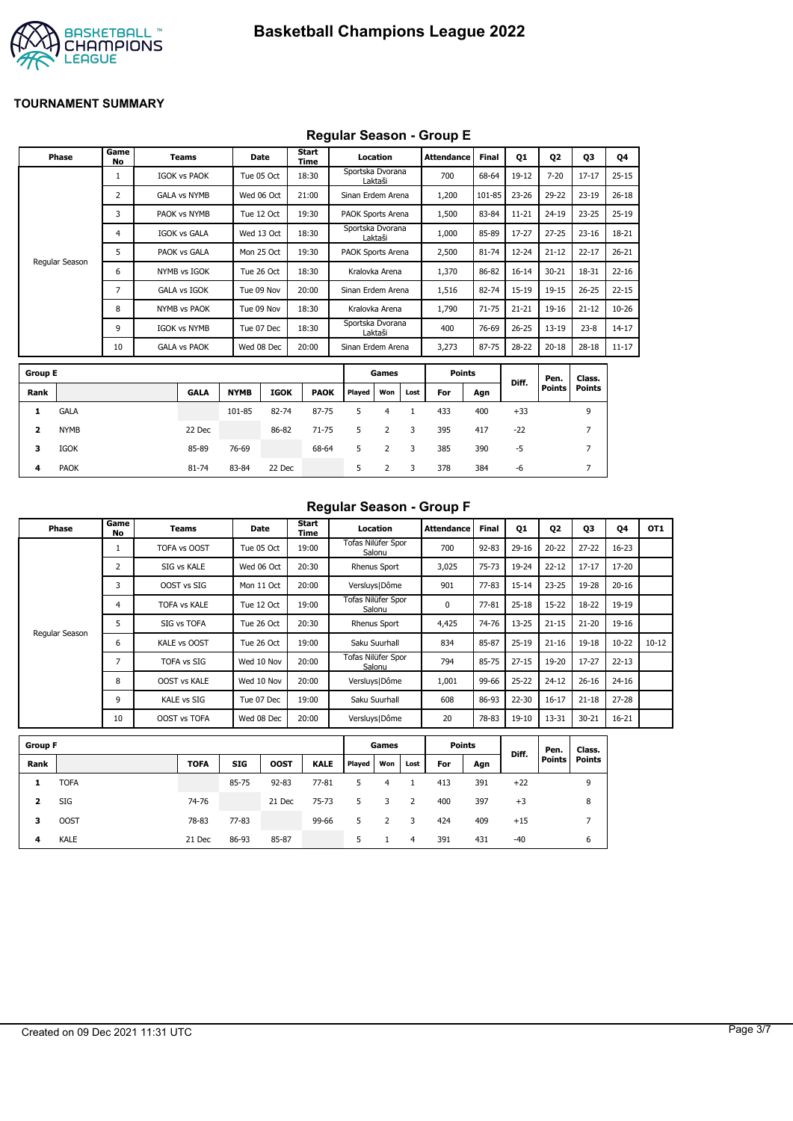

### **Regular Season - Group E**

|                         |                |                   |                     |             |             | .                    |                   |                |              |                   |              |           |               |                |           |
|-------------------------|----------------|-------------------|---------------------|-------------|-------------|----------------------|-------------------|----------------|--------------|-------------------|--------------|-----------|---------------|----------------|-----------|
|                         | <b>Phase</b>   | Game<br><b>No</b> | <b>Teams</b>        |             | Date        | <b>Start</b><br>Time |                   | Location       |              | <b>Attendance</b> | <b>Final</b> | Q1        | 02            | Q3             | Q4        |
|                         |                | 1                 | <b>IGOK vs PAOK</b> |             | Tue 05 Oct  | 18:30                | Sportska Dvorana  | Laktaši        |              | 700               | 68-64        | 19-12     | $7 - 20$      | $17 - 17$      | $25 - 15$ |
|                         |                | 2                 | <b>GALA vs NYMB</b> |             | Wed 06 Oct  | 21:00                | Sinan Erdem Arena |                |              | 1,200             | 101-85       | $23 - 26$ | 29-22         | $23-19$        | $26 - 18$ |
|                         |                | 3                 | PAOK vs NYMB        |             | Tue 12 Oct  | 19:30                | PAOK Sports Arena |                |              | 1,500             | 83-84        | $11 - 21$ | $24 - 19$     | $23 - 25$      | $25-19$   |
|                         |                | 4                 | <b>IGOK vs GALA</b> |             | Wed 13 Oct  | 18:30                | Sportska Dvorana  | Laktaši        |              | 1,000             | 85-89        | $17 - 27$ | $27 - 25$     | $23 - 16$      | 18-21     |
|                         |                | 5                 | PAOK vs GALA        |             | Mon 25 Oct  | 19:30                | PAOK Sports Arena |                |              | 2,500             | $81 - 74$    | $12 - 24$ | $21 - 12$     | $22 - 17$      | $26 - 21$ |
|                         | Regular Season | 6                 | NYMB vs IGOK        |             | Tue 26 Oct  | 18:30                |                   | Kralovka Arena |              | 1,370             | 86-82        | $16 - 14$ | $30 - 21$     | 18-31          | $22 - 16$ |
|                         |                | 7                 | <b>GALA vs IGOK</b> |             | Tue 09 Nov  | 20:00                | Sinan Erdem Arena |                |              | 1,516             | 82-74        | $15-19$   | $19 - 15$     | $26 - 25$      | $22 - 15$ |
|                         |                | 8                 | <b>NYMB vs PAOK</b> |             | Tue 09 Nov  | 18:30                |                   | Kralovka Arena |              | 1,790             | $71 - 75$    | $21 - 21$ | 19-16         | $21 - 12$      | $10 - 26$ |
|                         |                | 9                 | <b>IGOK vs NYMB</b> |             | Tue 07 Dec  | 18:30                | Sportska Dvorana  | Laktaši        |              | 400               | 76-69        | $26 - 25$ | $13 - 19$     | $23 - 8$       | $14 - 17$ |
|                         |                | 10                | <b>GALA vs PAOK</b> |             | Wed 08 Dec  | 20:00                | Sinan Erdem Arena |                |              | 3,273             | 87-75        | 28-22     | $20 - 18$     | $28 - 18$      | $11 - 17$ |
| <b>Group E</b>          |                |                   |                     |             |             |                      |                   | Games          |              | <b>Points</b>     |              |           | Pen.          | Class.         |           |
| Rank                    |                |                   | <b>GALA</b>         | <b>NYMB</b> | <b>IGOK</b> | <b>PAOK</b>          | Played            | Won            | Lost         | For               | Agn          | Diff.     | <b>Points</b> | <b>Points</b>  |           |
| 1                       | <b>GALA</b>    |                   |                     | 101-85      | 82-74       | 87-75                | 5                 | $\overline{4}$ | $\mathbf{1}$ | 433               | 400          | $+33$     |               | 9              |           |
| $\overline{\mathbf{2}}$ | <b>NYMB</b>    |                   | 22 Dec              |             | 86-82       | $71 - 75$            | 5                 | $\overline{2}$ | 3            | 395               | 417          | $-22$     |               | $\overline{7}$ |           |
| з                       | <b>IGOK</b>    |                   | 85-89               | 76-69       |             | 68-64                | 5                 | $\overline{2}$ | 3            | 385               | 390          | $-5$      |               | $\overline{7}$ |           |
| 4                       | <b>PAOK</b>    |                   | 81-74               | 83-84       | 22 Dec      |                      | 5                 | 2              | 3            | 378               | 384          | -6        |               | 7              |           |

## **Regular Season - Group F**

| Phase          | Game<br>No | Teams               | <b>Date</b> | Start<br>Time | Location                     | <b>Attendance</b> | <b>Final</b> | 01        | Q <sub>2</sub> | Q3        | 04        | OT <sub>1</sub> |
|----------------|------------|---------------------|-------------|---------------|------------------------------|-------------------|--------------|-----------|----------------|-----------|-----------|-----------------|
|                |            | TOFA vs OOST        | Tue 05 Oct  | 19:00         | Tofas Nilüfer Spor<br>Salonu | 700               | $92 - 83$    | $29 - 16$ | $20 - 22$      | $27 - 22$ | $16 - 23$ |                 |
|                |            | SIG vs KALE         | Wed 06 Oct  | 20:30         | <b>Rhenus Sport</b>          | 3,025             | $75 - 73$    | 19-24     | $22 - 12$      | $17 - 17$ | 17-20     |                 |
|                | 3          | OOST vs SIG         | Mon 11 Oct  | 20:00         | Versluys   Dôme              | 901               | 77-83        | $15 - 14$ | $23 - 25$      | 19-28     | $20 - 16$ |                 |
|                | 4          | <b>TOFA vs KALE</b> | Tue 12 Oct  | 19:00         | Tofas Nilüfer Spor<br>Salonu | 0                 | $77 - 81$    | $25 - 18$ | $15 - 22$      | $18 - 22$ | 19-19     |                 |
|                |            | SIG vs TOFA         | Tue 26 Oct  | 20:30         | <b>Rhenus Sport</b>          | 4,425             | 74-76        | $13 - 25$ | $21 - 15$      | $21 - 20$ | 19-16     |                 |
| Regular Season | 6          | <b>KALE vs OOST</b> | Tue 26 Oct  | 19:00         | Saku Suurhall                | 834               | 85-87        | $25-19$   | $21 - 16$      | $19 - 18$ | $10-22$   | $10 - 12$       |
|                |            | <b>TOFA vs SIG</b>  | Wed 10 Nov  | 20:00         | Tofas Nilüfer Spor<br>Salonu | 794               | 85-75        | $27 - 15$ | 19-20          | $17 - 27$ | $22 - 13$ |                 |
|                | 8          | <b>OOST vs KALE</b> | Wed 10 Nov  | 20:00         | Versluys   Dôme              | 1,001             | 99-66        | $25 - 22$ | $24 - 12$      | $26 - 16$ | $24 - 16$ |                 |
|                | 9          | KALE vs SIG         | Tue 07 Dec  | 19:00         | Saku Suurhall                | 608               | 86-93        | $22 - 30$ | $16 - 17$      | $21 - 18$ | $27 - 28$ |                 |
|                | 10         | OOST vs TOFA        | Wed 08 Dec  | 20:00         | Versluys   Dôme              | 20                | 78-83        | $19 - 10$ | 13-31          | $30 - 21$ | $16 - 21$ |                 |

| <b>Group F</b> |             |             |            |             |             |        | Games |      | <b>Points</b> |     | Diff. | Pen.   | Class.        |
|----------------|-------------|-------------|------------|-------------|-------------|--------|-------|------|---------------|-----|-------|--------|---------------|
| Rank           |             | <b>TOFA</b> | <b>SIG</b> | <b>OOST</b> | <b>KALE</b> | Played | Won   | Lost | For           | Agn |       | Points | <b>Points</b> |
|                | <b>TOFA</b> |             | 85-75      | $92 - 83$   | $77 - 81$   | 5.     | 4     |      | 413           | 391 | $+22$ |        | 9             |
| 2              | SIG         | 74-76       |            | 21 Dec      | $75 - 73$   | 5.     | 3     | -2   | 400           | 397 | $+3$  |        | 8             |
| з              | <b>OOST</b> | 78-83       | $77 - 83$  |             | 99-66       | 5      |       | 3    | 424           | 409 | $+15$ |        | ⇁             |
| 4              | <b>KALE</b> | 21 Dec      | 86-93      | 85-87       |             | 5      |       | 4    | 391           | 431 | $-40$ |        | 6             |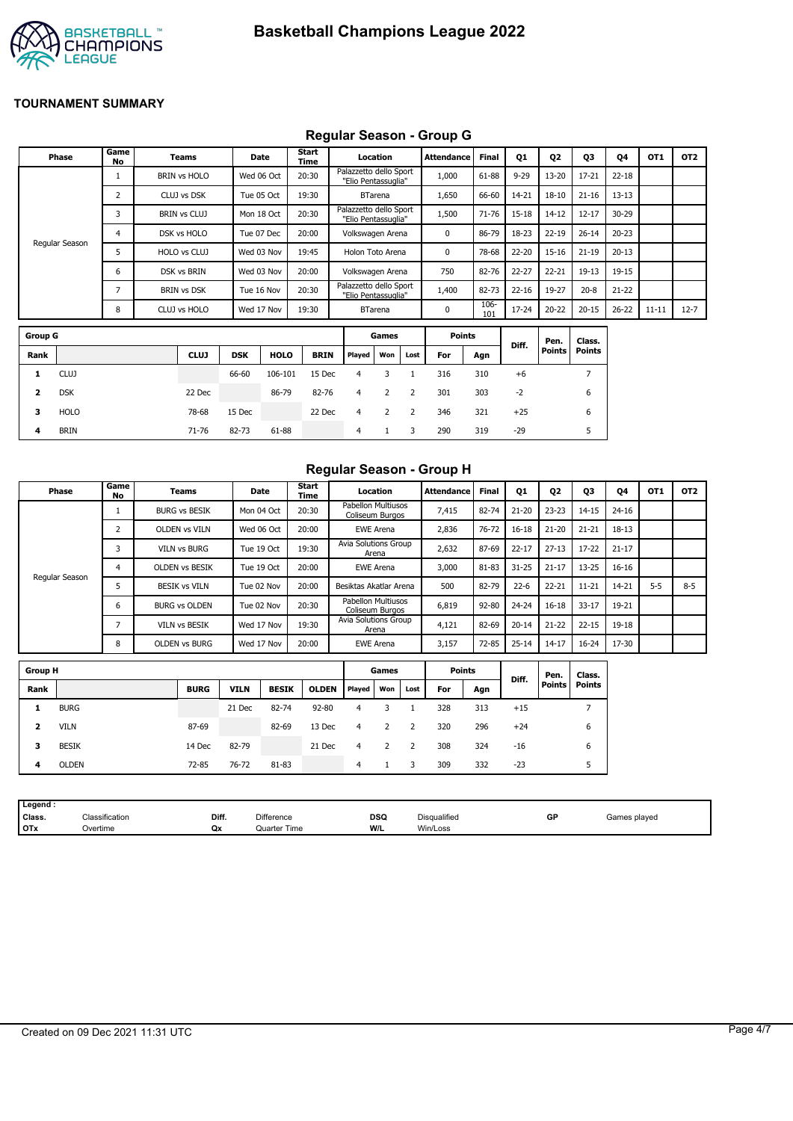

## **Regular Season - Group G**

| Phase          | Game<br>No               | <b>Teams</b>        |            | Date        | Start<br>Time |                                               | Location       |      | Attendance    | <b>Final</b>   | Q1        | Q <sub>2</sub> | Q3            | Q4        | OT1       | OT <sub>2</sub> |
|----------------|--------------------------|---------------------|------------|-------------|---------------|-----------------------------------------------|----------------|------|---------------|----------------|-----------|----------------|---------------|-----------|-----------|-----------------|
|                |                          | <b>BRIN vs HOLO</b> |            | Wed 06 Oct  | 20:30         | Palazzetto dello Sport<br>"Elio Pentassuglia" |                |      | 1,000         | 61-88          | $9 - 29$  | 13-20          | $17 - 21$     | $22 - 18$ |           |                 |
|                | 2                        | CLUJ vs DSK         |            | Tue 05 Oct  | 19:30         |                                               | <b>BTarena</b> |      | 1,650         | 66-60          | 14-21     | $18 - 10$      | $21 - 16$     | $13 - 13$ |           |                 |
|                | 3                        | <b>BRIN vs CLUJ</b> |            | Mon 18 Oct  | 20:30         | Palazzetto dello Sport<br>"Elio Pentassuglia" |                |      | 1,500         | 71-76          | $15 - 18$ | $14 - 12$      | $12 - 17$     | $30 - 29$ |           |                 |
|                | 4                        | DSK vs HOLO         |            | Tue 07 Dec  | 20:00         | Volkswagen Arena                              |                |      | 0             | 86-79          | 18-23     | $22 - 19$      | $26 - 14$     | $20 - 23$ |           |                 |
| Regular Season | 5                        | HOLO vs CLUJ        |            | Wed 03 Nov  | 19:45         | Holon Toto Arena                              |                |      | 0             | 78-68          | 22-20     | $15 - 16$      | $21 - 19$     | $20 - 13$ |           |                 |
|                | 6                        | DSK vs BRIN         |            | Wed 03 Nov  | 20:00         | Volkswagen Arena                              |                |      | 750           | 82-76          | 22-27     | $22 - 21$      | $19 - 13$     | 19-15     |           |                 |
|                | $\overline{\phantom{a}}$ | <b>BRIN vs DSK</b>  |            | Tue 16 Nov  | 20:30         | Palazzetto dello Sport<br>"Elio Pentassuglia" |                |      | 1,400         | 82-73          | $22 - 16$ | 19-27          | $20 - 8$      | $21 - 22$ |           |                 |
|                | 8                        | CLUJ vs HOLO        |            | Wed 17 Nov  | 19:30         |                                               | <b>BTarena</b> |      | $\Omega$      | $106 -$<br>101 | 17-24     | $20 - 22$      | $20 - 15$     | $26 - 22$ | $11 - 11$ | $12 - 7$        |
| <b>Group G</b> |                          |                     |            |             |               |                                               | Games          |      | <b>Points</b> |                |           | Pen.           | Class.        |           |           |                 |
| Rank           |                          | <b>CLUJ</b>         | <b>DSK</b> | <b>HOLO</b> | <b>BRIN</b>   | Played                                        | Won            | Lost | For           | Agn            | Diff.     | Points         | <b>Points</b> |           |           |                 |

| .            |             |             |            |             |             |                |     |      |     |     |       | ren.   | ciass. |
|--------------|-------------|-------------|------------|-------------|-------------|----------------|-----|------|-----|-----|-------|--------|--------|
| Rank         |             | <b>CLUJ</b> | <b>DSK</b> | <b>HOLO</b> | <b>BRIN</b> | Played         | Won | Lost | For | Agn | Diff. | Points | Points |
| 1            | <b>CLUJ</b> |             | 66-60      | 106-101     | 15 Dec      | $\overline{4}$ |     |      | 316 | 310 | $+6$  |        |        |
| $\mathbf{2}$ | <b>DSK</b>  | 22 Dec      |            | 86-79       | 82-76       | 4              | 2   | 2    | 301 | 303 | $-2$  |        | 6      |
| 3.           | HOLO        | 78-68       | 15 Dec     |             | 22 Dec      | 4              |     | 2    | 346 | 321 | $+25$ |        | 6      |
| 4            | BRIN        | 71-76       | 82-73      | 61-88       |             | 4              |     | 3    | 290 | 319 | $-29$ |        |        |

## **Regular Season - Group H**

| Phase          | Game<br>No | Teams                 | <b>Date</b> | Start<br>Time | Location                              | Attendance    | <b>Final</b> | Q1        | Q <sub>2</sub> | Q3        | Q4        | OT <sub>1</sub> | OT <sub>2</sub> |
|----------------|------------|-----------------------|-------------|---------------|---------------------------------------|---------------|--------------|-----------|----------------|-----------|-----------|-----------------|-----------------|
|                |            | <b>BURG vs BESIK</b>  | Mon 04 Oct  | 20:30         | Pabellon Multiusos<br>Coliseum Burgos | 7,415         | 82-74        | $21 - 20$ | $23 - 23$      | $14 - 15$ | $24 - 16$ |                 |                 |
|                |            | <b>OLDEN vs VILN</b>  | Wed 06 Oct  | 20:00         | <b>EWE Arena</b>                      | 2,836         | $76 - 72$    | $16 - 18$ | $21 - 20$      | $21 - 21$ | $18 - 13$ |                 |                 |
|                | 3          | <b>VILN vs BURG</b>   | Tue 19 Oct  | 19:30         | Avia Solutions Group<br>Arena         | 2,632         | 87-69        | $22 - 17$ | $27 - 13$      | $17 - 22$ | $21 - 17$ |                 |                 |
| Regular Season | 4          | <b>OLDEN VS BESIK</b> | Tue 19 Oct  | 20:00         | <b>EWE Arena</b>                      | 3,000         | 81-83        | $31 - 25$ | $21 - 17$      | 13-25     | $16 - 16$ |                 |                 |
|                | 5          | <b>BESIK vs VILN</b>  | Tue 02 Nov  | 20:00         | Besiktas Akatlar Arena                | 500           | 82-79        | $22 - 6$  | $22 - 21$      | $11 - 21$ | 14-21     | $5 - 5$         | $8 - 5$         |
|                | 6          | <b>BURG vs OLDEN</b>  | Tue 02 Nov  | 20:30         | Pabellon Multiusos<br>Coliseum Burgos | 6,819         | $92 - 80$    | $24 - 24$ | $16 - 18$      | $33 - 17$ | $19 - 21$ |                 |                 |
|                |            | <b>VILN vs BESIK</b>  | Wed 17 Nov  | 19:30         | Avia Solutions Group<br>Arena         | 4,121         | 82-69        | $20 - 14$ | $21 - 22$      | $22 - 15$ | 19-18     |                 |                 |
|                | 8          | <b>OLDEN vs BURG</b>  | Wed 17 Nov  | 20:00         | <b>EWE Arena</b>                      | 3,157         | $72 - 85$    | $25 - 14$ | $14 - 17$      | $16 - 24$ | 17-30     |                 |                 |
| Group H        |            |                       |             |               | Games                                 | <b>Dointe</b> |              |           |                |           |           |                 |                 |

| Group H<br>Points<br>Games |              |             |             |              |              |        | Diff. | Pen. | Class. |     |       |          |               |
|----------------------------|--------------|-------------|-------------|--------------|--------------|--------|-------|------|--------|-----|-------|----------|---------------|
| Rank                       |              | <b>BURG</b> | <b>VILN</b> | <b>BESIK</b> | <b>OLDEN</b> | Played | Won   | Lost | For    | Agn |       | Points I | <b>Points</b> |
|                            | <b>BURG</b>  |             | 21 Dec      | 82-74        | $92 - 80$    | 4      |       |      | 328    | 313 | $+15$ |          |               |
| 2                          | <b>VILN</b>  | 87-69       |             | 82-69        | 13 Dec       | 4      |       |      | 320    | 296 | $+24$ |          | 6             |
| з                          | <b>BESIK</b> | 14 Dec      | 82-79       |              | 21 Dec       | 4      |       |      | 308    | 324 | $-16$ |          | 6             |
| 4                          | <b>OLDEN</b> | 72-85       | 76-72       | 81-83        |              | 4      |       |      | 309    | 332 | $-23$ |          | 5             |
|                            |              |             |             |              |              |        |       |      |        |     |       |          |               |

| Classification<br>Class. | Diff.<br>Difference | <b>DSQ</b> | GP<br>Disqualified | Games plaved |  |
|--------------------------|---------------------|------------|--------------------|--------------|--|
| <b>OTx</b><br>Overtime   | Quarter Time<br>Qx  | W/L        | Win/Loss           |              |  |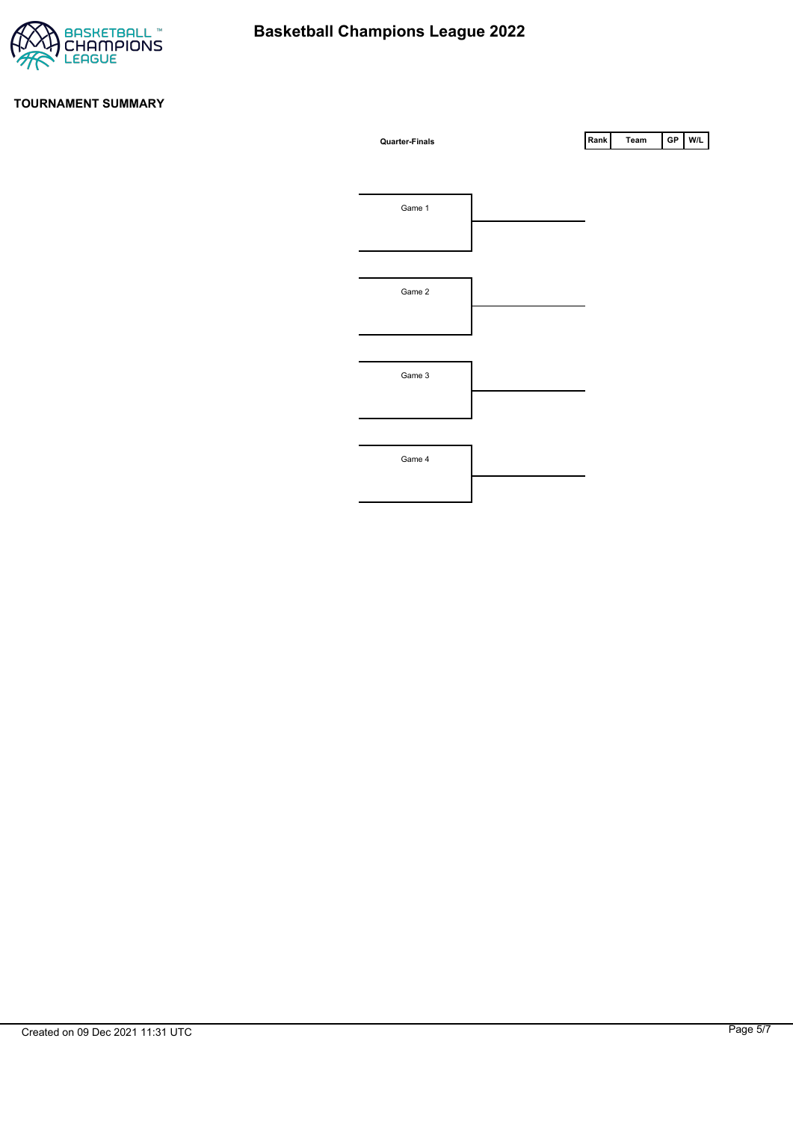

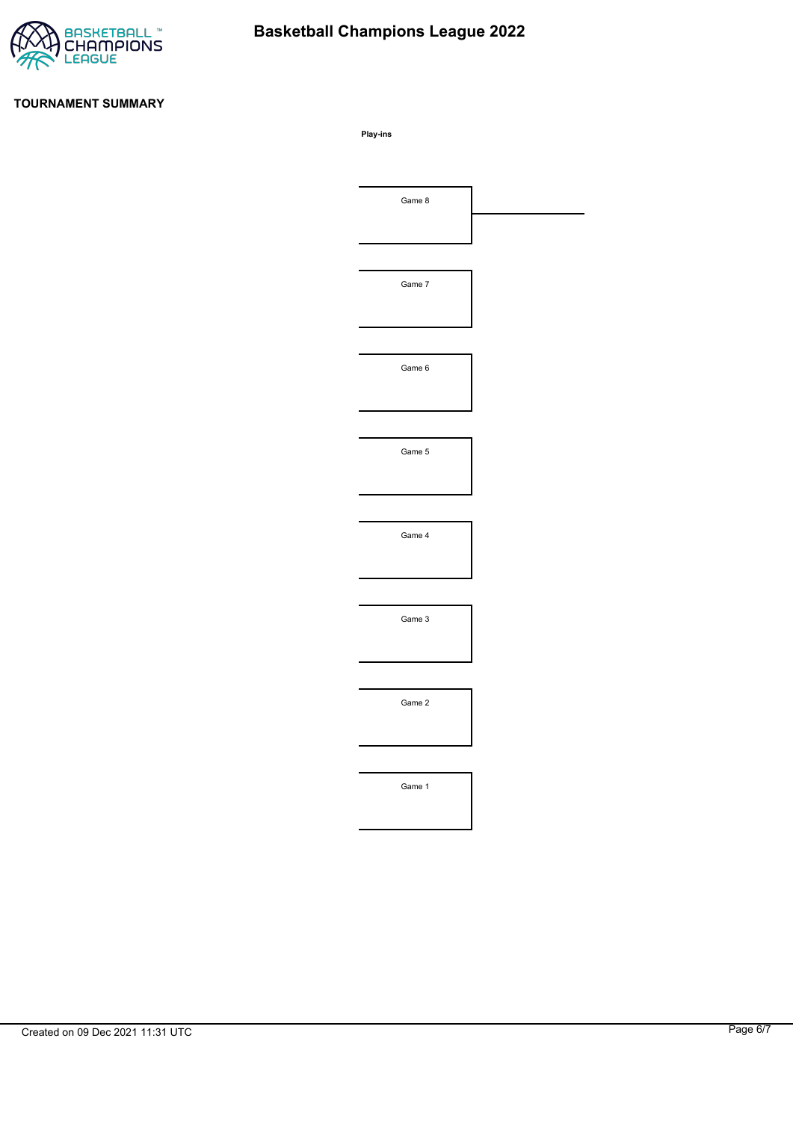

# **Basketball Champions League 2022**

#### **TOURNAMENT SUMMARY**

**Play-ins**

| Game 8 |  |
|--------|--|
|        |  |
|        |  |
| Game 7 |  |
|        |  |
|        |  |
| Game 6 |  |
|        |  |
|        |  |
| Game 5 |  |
|        |  |
|        |  |
| Game 4 |  |
|        |  |
|        |  |
| Game 3 |  |
|        |  |
|        |  |
| Game 2 |  |
|        |  |
|        |  |
| Game 1 |  |
|        |  |
|        |  |